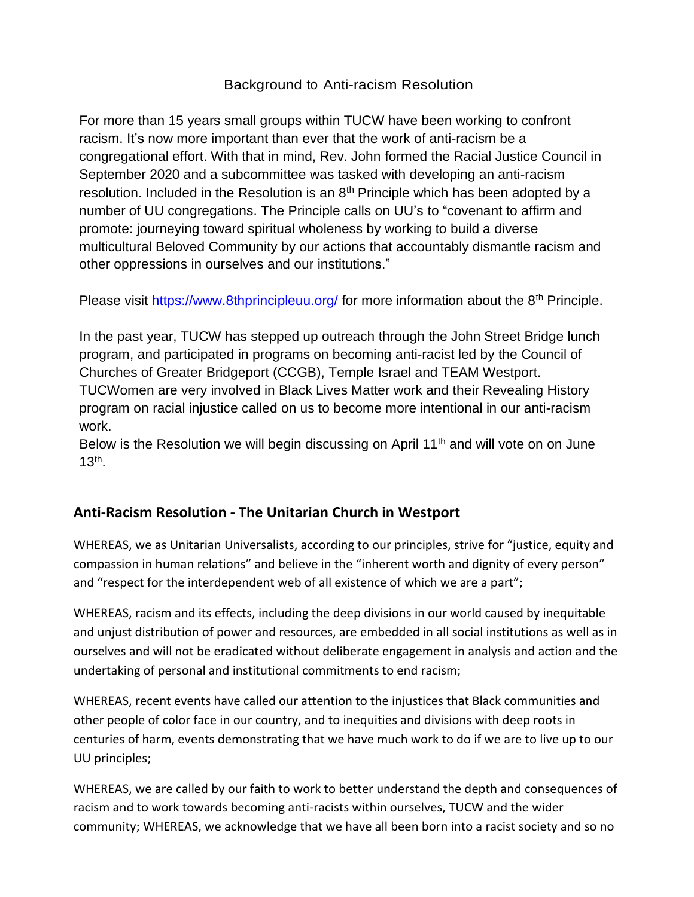## Background to Anti-racism Resolution

For more than 15 years small groups within TUCW have been working to confront racism. It's now more important than ever that the work of anti-racism be a congregational effort. With that in mind, Rev. John formed the Racial Justice Council in September 2020 and a subcommittee was tasked with developing an anti-racism resolution. Included in the Resolution is an  $8<sup>th</sup>$  Principle which has been adopted by a number of UU congregations. The Principle calls on UU's to "covenant to affirm and promote: journeying toward spiritual wholeness by working to build a diverse multicultural Beloved Community by our actions that accountably dismantle racism and other oppressions in ourselves and our institutions."

Please visit<https://www.8thprincipleuu.org/> for more information about the 8<sup>th</sup> Principle.

In the past year, TUCW has stepped up outreach through the John Street Bridge lunch program, and participated in programs on becoming anti-racist led by the Council of Churches of Greater Bridgeport (CCGB), Temple Israel and TEAM Westport. TUCWomen are very involved in Black Lives Matter work and their Revealing History program on racial injustice called on us to become more intentional in our anti-racism work.

Below is the Resolution we will begin discussing on April 11<sup>th</sup> and will vote on on June  $13<sup>th</sup>$ .

## **Anti-Racism Resolution - The Unitarian Church in Westport**

WHEREAS, we as Unitarian Universalists, according to our principles, strive for "justice, equity and compassion in human relations" and believe in the "inherent worth and dignity of every person" and "respect for the interdependent web of all existence of which we are a part";

WHEREAS, racism and its effects, including the deep divisions in our world caused by inequitable and unjust distribution of power and resources, are embedded in all social institutions as well as in ourselves and will not be eradicated without deliberate engagement in analysis and action and the undertaking of personal and institutional commitments to end racism;

WHEREAS, recent events have called our attention to the injustices that Black communities and other people of color face in our country, and to inequities and divisions with deep roots in centuries of harm, events demonstrating that we have much work to do if we are to live up to our UU principles;

WHEREAS, we are called by our faith to work to better understand the depth and consequences of racism and to work towards becoming anti-racists within ourselves, TUCW and the wider community; WHEREAS, we acknowledge that we have all been born into a racist society and so no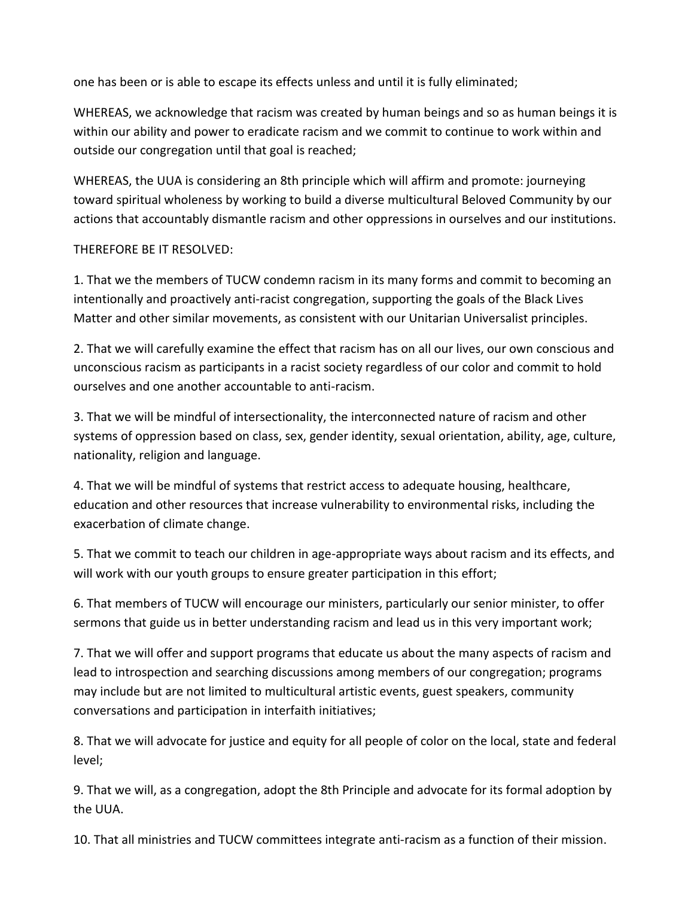one has been or is able to escape its effects unless and until it is fully eliminated;

WHEREAS, we acknowledge that racism was created by human beings and so as human beings it is within our ability and power to eradicate racism and we commit to continue to work within and outside our congregation until that goal is reached;

WHEREAS, the UUA is considering an 8th principle which will affirm and promote: journeying toward spiritual wholeness by working to build a diverse multicultural Beloved Community by our actions that accountably dismantle racism and other oppressions in ourselves and our institutions.

## THEREFORE BE IT RESOLVED:

1. That we the members of TUCW condemn racism in its many forms and commit to becoming an intentionally and proactively anti-racist congregation, supporting the goals of the Black Lives Matter and other similar movements, as consistent with our Unitarian Universalist principles.

2. That we will carefully examine the effect that racism has on all our lives, our own conscious and unconscious racism as participants in a racist society regardless of our color and commit to hold ourselves and one another accountable to anti-racism.

3. That we will be mindful of intersectionality, the interconnected nature of racism and other systems of oppression based on class, sex, gender identity, sexual orientation, ability, age, culture, nationality, religion and language.

4. That we will be mindful of systems that restrict access to adequate housing, healthcare, education and other resources that increase vulnerability to environmental risks, including the exacerbation of climate change.

5. That we commit to teach our children in age-appropriate ways about racism and its effects, and will work with our youth groups to ensure greater participation in this effort;

6. That members of TUCW will encourage our ministers, particularly our senior minister, to offer sermons that guide us in better understanding racism and lead us in this very important work;

7. That we will offer and support programs that educate us about the many aspects of racism and lead to introspection and searching discussions among members of our congregation; programs may include but are not limited to multicultural artistic events, guest speakers, community conversations and participation in interfaith initiatives;

8. That we will advocate for justice and equity for all people of color on the local, state and federal level;

9. That we will, as a congregation, adopt the 8th Principle and advocate for its formal adoption by the UUA.

10. That all ministries and TUCW committees integrate anti-racism as a function of their mission.